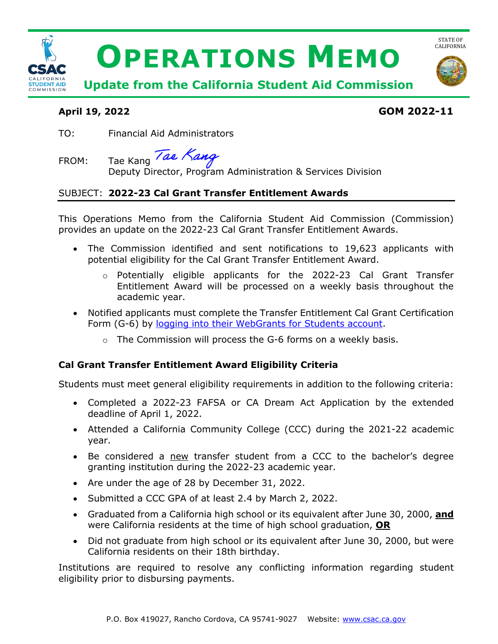

# **April 19, 2022 GOM 2022-11**

TO: Financial Aid Administrators

FROM: Tae Kang Tae Kang

Deputy Director, Program Administration & Services Division

## SUBJECT: **2022-23 Cal Grant Transfer Entitlement Awards**

 provides an update on the 2022-23 Cal Grant Transfer Entitlement Awards. This Operations Memo from the California Student Aid Commission (Commission)

- • The Commission identified and sent notifications to 19,623 applicants with potential eligibility for the Cal Grant Transfer Entitlement Award.
	- o Potentially eligible applicants for the 2022-23 Cal Grant Transfer Entitlement Award will be processed on a weekly basis throughout the academic year.
- • Notified applicants must complete the Transfer Entitlement Cal Grant Certification Form (G-6) by [logging into their WebGrants for Students account.](https://mygrantinfo.csac.ca.gov/)
	- $\circ$  The Commission will process the G-6 forms on a weekly basis.

## **Cal Grant Transfer Entitlement Award Eligibility Criteria**

Students must meet general eligibility requirements in addition to the following criteria:

- • Completed a 2022-23 FAFSA or CA Dream Act Application by the extended deadline of April 1, 2022.
- Attended a California Community College (CCC) during the 2021-22 academic year.
- Be considered a new transfer student from a CCC to the bachelor's degree granting institution during the 2022-23 academic year.
- Are under the age of 28 by December 31, 2022.
- Submitted a CCC GPA of at least 2.4 by March 2, 2022.
- • Graduated from a California high school or its equivalent after June 30, 2000, **and**  were California residents at the time of high school graduation, **OR**
- • Did not graduate from high school or its equivalent after June 30, 2000, but were California residents on their 18th birthday.

 Institutions are required to resolve any conflicting information regarding student eligibility prior to disbursing payments.